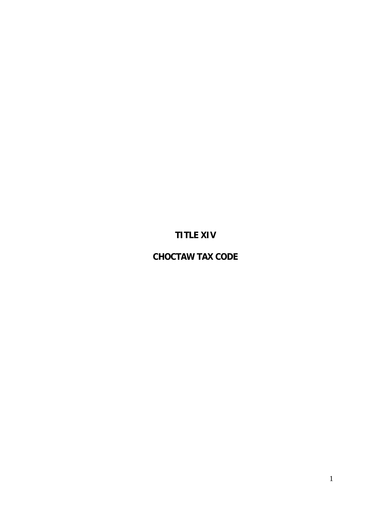## **TITLE XIV**

## **CHOCTAW TAX CODE**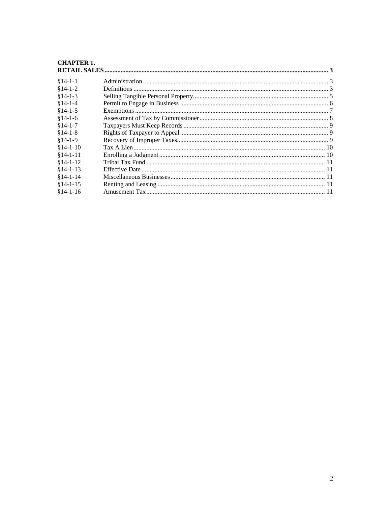# **CHAPTER 1.<br>RETAIL SALES**

| $$14-1-1$  |  |  |
|------------|--|--|
| $$14-1-2$  |  |  |
| $$14-1-3$  |  |  |
| $§14-1-4$  |  |  |
| $§14-1-5$  |  |  |
| $$14-1-6$  |  |  |
| $§14-1-7$  |  |  |
| $$14-1-8$  |  |  |
| $$14-1-9$  |  |  |
| $$14-1-10$ |  |  |
| $$14-1-11$ |  |  |
| $$14-1-12$ |  |  |
| $$14-1-13$ |  |  |
| $$14-1-14$ |  |  |
| $$14-1-15$ |  |  |
| $$14-1-16$ |  |  |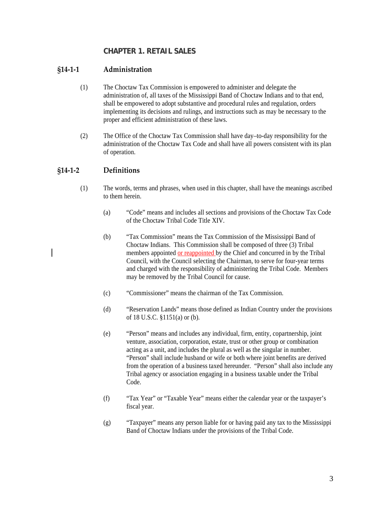### **CHAPTER 1. RETAIL SALES**

#### <span id="page-2-2"></span><span id="page-2-1"></span><span id="page-2-0"></span>**§14‐1‐1 Administration**

- (1) The Choctaw Tax Commission is empowered to administer and delegate the administration of, all taxes of the Mississippi Band of Choctaw Indians and to that end, shall be empowered to adopt substantive and procedural rules and regulation, orders implementing its decisions and rulings, and instructions such as may be necessary to the proper and efficient administration of these laws.
- (2) The Office of the Choctaw Tax Commission shall have day–to-day responsibility for the administration of the Choctaw Tax Code and shall have all powers consistent with its plan of operation.

#### <span id="page-2-3"></span>**§14‐1‐2 Definitions**

- (1) The words, terms and phrases, when used in this chapter, shall have the meanings ascribed to them herein.
	- (a) "Code" means and includes all sections and provisions of the Choctaw Tax Code of the Choctaw Tribal Code Title XIV.
	- (b) "Tax Commission" means the Tax Commission of the Mississippi Band of Choctaw Indians. This Commission shall be composed of three (3) Tribal members appointed or reappointed by the Chief and concurred in by the Tribal Council, with the Council selecting the Chairman, to serve for four-year terms and charged with the responsibility of administering the Tribal Code. Members may be removed by the Tribal Council for cause.
	- (c) "Commissioner" means the chairman of the Tax Commission.
	- (d) "Reservation Lands" means those defined as Indian Country under the provisions of 18 U.S.C. §1151(a) or (b).
	- (e) "Person" means and includes any individual, firm, entity, copartnership, joint venture, association, corporation, estate, trust or other group or combination acting as a unit, and includes the plural as well as the singular in number. "Person" shall include husband or wife or both where joint benefits are derived from the operation of a business taxed hereunder. "Person" shall also include any Tribal agency or association engaging in a business taxable under the Tribal Code.
	- (f) "Tax Year" or "Taxable Year" means either the calendar year or the taxpayer's fiscal year.
	- (g) "Taxpayer" means any person liable for or having paid any tax to the Mississippi Band of Choctaw Indians under the provisions of the Tribal Code.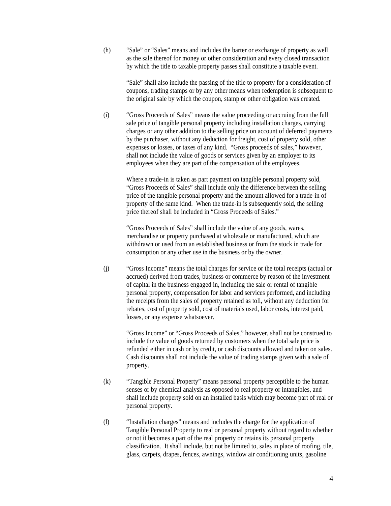(h) "Sale" or "Sales" means and includes the barter or exchange of property as well as the sale thereof for money or other consideration and every closed transaction by which the title to taxable property passes shall constitute a taxable event.

> "Sale" shall also include the passing of the title to property for a consideration of coupons, trading stamps or by any other means when redemption is subsequent to the original sale by which the coupon, stamp or other obligation was created.

(i) "Gross Proceeds of Sales" means the value proceeding or accruing from the full sale price of tangible personal property including installation charges, carrying charges or any other addition to the selling price on account of deferred payments by the purchaser, without any deduction for freight, cost of property sold, other expenses or losses, or taxes of any kind. "Gross proceeds of sales," however, shall not include the value of goods or services given by an employer to its employees when they are part of the compensation of the employees.

Where a trade-in is taken as part payment on tangible personal property sold, "Gross Proceeds of Sales" shall include only the difference between the selling price of the tangible personal property and the amount allowed for a trade-in of property of the same kind. When the trade-in is subsequently sold, the selling price thereof shall be included in "Gross Proceeds of Sales."

"Gross Proceeds of Sales" shall include the value of any goods, wares, merchandise or property purchased at wholesale or manufactured, which are withdrawn or used from an established business or from the stock in trade for consumption or any other use in the business or by the owner.

(j) "Gross Income" means the total charges for service or the total receipts (actual or accrued) derived from trades, business or commerce by reason of the investment of capital in the business engaged in, including the sale or rental of tangible personal property, compensation for labor and services performed, and including the receipts from the sales of property retained as toll, without any deduction for rebates, cost of property sold, cost of materials used, labor costs, interest paid, losses, or any expense whatsoever.

"Gross Income" or "Gross Proceeds of Sales," however, shall not be construed to include the value of goods returned by customers when the total sale price is refunded either in cash or by credit, or cash discounts allowed and taken on sales. Cash discounts shall not include the value of trading stamps given with a sale of property.

- (k) "Tangible Personal Property" means personal property perceptible to the human senses or by chemical analysis as opposed to real property or intangibles, and shall include property sold on an installed basis which may become part of real or personal property.
- (l) "Installation charges" means and includes the charge for the application of Tangible Personal Property to real or personal property without regard to whether or not it becomes a part of the real property or retains its personal property classification. It shall include, but not be limited to, sales in place of roofing, tile, glass, carpets, drapes, fences, awnings, window air conditioning units, gasoline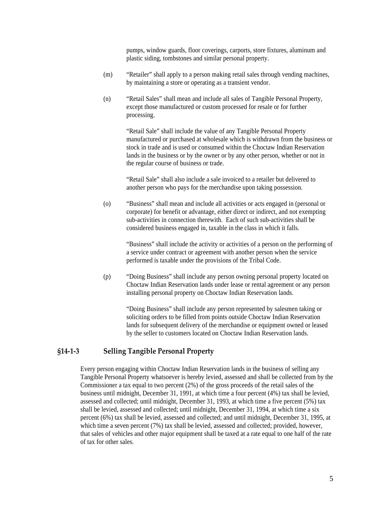pumps, window guards, floor coverings, carports, store fixtures, aluminum and plastic siding, tombstones and similar personal property.

- <span id="page-4-0"></span>(m) "Retailer" shall apply to a person making retail sales through vending machines, by maintaining a store or operating as a transient vendor.
- (n) "Retail Sales" shall mean and include all sales of Tangible Personal Property, except those manufactured or custom processed for resale or for further processing.

"Retail Sale" shall include the value of any Tangible Personal Property manufactured or purchased at wholesale which is withdrawn from the business or stock in trade and is used or consumed within the Choctaw Indian Reservation lands in the business or by the owner or by any other person, whether or not in the regular course of business or trade.

"Retail Sale" shall also include a sale invoiced to a retailer but delivered to another person who pays for the merchandise upon taking possession.

(o) "Business" shall mean and include all activities or acts engaged in (personal or corporate) for benefit or advantage, either direct or indirect, and not exempting sub-activities in connection therewith. Each of such sub-activities shall be considered business engaged in, taxable in the class in which it falls.

> "Business" shall include the activity or activities of a person on the performing of a service under contract or agreement with another person when the service performed is taxable under the provisions of the Tribal Code.

(p) "Doing Business" shall include any person owning personal property located on Choctaw Indian Reservation lands under lease or rental agreement or any person installing personal property on Choctaw Indian Reservation lands.

"Doing Business" shall include any person represented by salesmen taking or soliciting orders to be filled from points outside Choctaw Indian Reservation lands for subsequent delivery of the merchandise or equipment owned or leased by the seller to customers located on Choctaw Indian Reservation lands.

#### <span id="page-4-1"></span>**§14‐1‐3 Selling Tangible Personal Property**

Every person engaging within Choctaw Indian Reservation lands in the business of selling any Tangible Personal Property whatsoever is hereby levied, assessed and shall be collected from by the Commissioner a tax equal to two percent (2%) of the gross proceeds of the retail sales of the business until midnight, December 31, 1991, at which time a four percent (4%) tax shall be levied, assessed and collected; until midnight, December 31, 1993, at which time a five percent (5%) tax shall be levied, assessed and collected; until midnight, December 31, 1994, at which time a six percent (6%) tax shall be levied, assessed and collected; and until midnight, December 31, 1995, at which time a seven percent (7%) tax shall be levied, assessed and collected; provided, however, that sales of vehicles and other major equipment shall be taxed at a rate equal to one half of the rate of tax for other sales.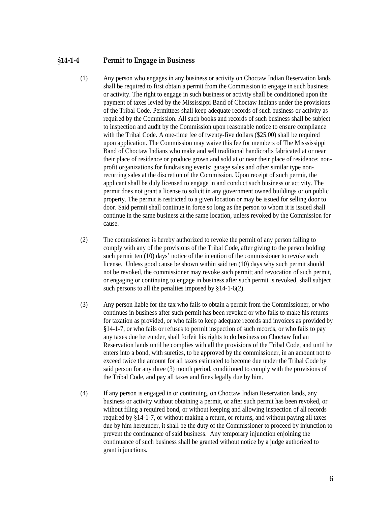#### <span id="page-5-1"></span><span id="page-5-0"></span>**§14‐1‐4 Permit to Engage in Business**

- (1) Any person who engages in any business or activity on Choctaw Indian Reservation lands shall be required to first obtain a permit from the Commission to engage in such business or activity. The right to engage in such business or activity shall be conditioned upon the payment of taxes levied by the Mississippi Band of Choctaw Indians under the provisions of the Tribal Code. Permittees shall keep adequate records of such business or activity as required by the Commission. All such books and records of such business shall be subject to inspection and audit by the Commission upon reasonable notice to ensure compliance with the Tribal Code. A one-time fee of twenty-five dollars (\$25.00) shall be required upon application. The Commission may waive this fee for members of The Misssissippi Band of Choctaw Indians who make and sell traditional handicrafts fabricated at or near their place of residence or produce grown and sold at or near their place of residence; nonprofit organizations for fundraising events; garage sales and other similar type nonrecurring sales at the discretion of the Commission. Upon receipt of such permit, the applicant shall be duly licensed to engage in and conduct such business or activity. The permit does not grant a license to solicit in any government owned buildings or on public property. The permit is restricted to a given location or may be issued for selling door to door. Said permit shall continue in force so long as the person to whom it is issued shall continue in the same business at the same location, unless revoked by the Commission for cause.
- (2) The commissioner is hereby authorized to revoke the permit of any person failing to comply with any of the provisions of the Tribal Code, after giving to the person holding such permit ten (10) days' notice of the intention of the commissioner to revoke such license. Unless good cause be shown within said ten (10) days why such permit should not be revoked, the commissioner may revoke such permit; and revocation of such permit, or engaging or continuing to engage in business after such permit is revoked, shall subject such persons to all the penalties imposed by §14-1-6(2).
- (3) Any person liable for the tax who fails to obtain a permit from the Commissioner, or who continues in business after such permit has been revoked or who fails to make his returns for taxation as provided, or who fails to keep adequate records and invoices as provided by §14-1-7, or who fails or refuses to permit inspection of such records, or who fails to pay any taxes due hereunder, shall forfeit his rights to do business on Choctaw Indian Reservation lands until he complies with all the provisions of the Tribal Code, and until he enters into a bond, with sureties, to be approved by the commissioner, in an amount not to exceed twice the amount for all taxes estimated to become due under the Tribal Code by said person for any three (3) month period, conditioned to comply with the provisions of the Tribal Code, and pay all taxes and fines legally due by him.
- (4) If any person is engaged in or continuing, on Choctaw Indian Reservation lands, any business or activity without obtaining a permit, or after such permit has been revoked, or without filing a required bond, or without keeping and allowing inspection of all records required by §14-1-7, or without making a return, or returns, and without paying all taxes due by him hereunder, it shall be the duty of the Commissioner to proceed by injunction to prevent the continuance of said business. Any temporary injunction enjoining the continuance of such business shall be granted without notice by a judge authorized to grant injunctions.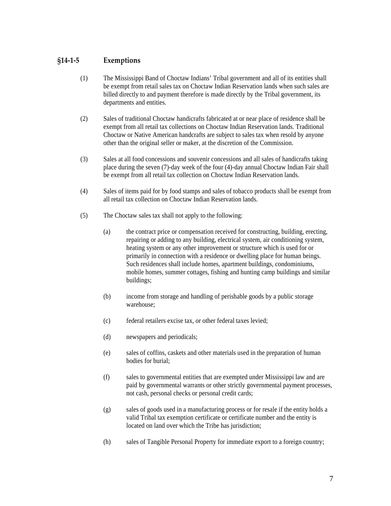#### <span id="page-6-1"></span><span id="page-6-0"></span>**§14‐1‐5 Exemptions**

- (1) The Mississippi Band of Choctaw Indians' Tribal government and all of its entities shall be exempt from retail sales tax on Choctaw Indian Reservation lands when such sales are billed directly to and payment therefore is made directly by the Tribal government, its departments and entities.
- (2) Sales of traditional Choctaw handicrafts fabricated at or near place of residence shall be exempt from all retail tax collections on Choctaw Indian Reservation lands. Traditional Choctaw or Native American handcrafts are subject to sales tax when resold by anyone other than the original seller or maker, at the discretion of the Commission.
- (3) Sales at all food concessions and souvenir concessions and all sales of handicrafts taking place during the seven (7)-day week of the four (4)-day annual Choctaw Indian Fair shall be exempt from all retail tax collection on Choctaw Indian Reservation lands.
- (4) Sales of items paid for by food stamps and sales of tobacco products shall be exempt from all retail tax collection on Choctaw Indian Reservation lands.
- (5) The Choctaw sales tax shall not apply to the following:
	- (a) the contract price or compensation received for constructing, building, erecting, repairing or adding to any building, electrical system, air conditioning system, heating system or any other improvement or structure which is used for or primarily in connection with a residence or dwelling place for human beings. Such residences shall include homes, apartment buildings, condominiums, mobile homes, summer cottages, fishing and hunting camp buildings and similar buildings;
	- (b) income from storage and handling of perishable goods by a public storage warehouse;
	- (c) federal retailers excise tax, or other federal taxes levied;
	- (d) newspapers and periodicals;
	- (e) sales of coffins, caskets and other materials used in the preparation of human bodies for burial;
	- (f) sales to governmental entities that are exempted under Mississippi law and are paid by governmental warrants or other strictly governmental payment processes, not cash, personal checks or personal credit cards;
	- (g) sales of goods used in a manufacturing process or for resale if the entity holds a valid Tribal tax exemption certificate or certificate number and the entity is located on land over which the Tribe has jurisdiction;
	- (h) sales of Tangible Personal Property for immediate export to a foreign country;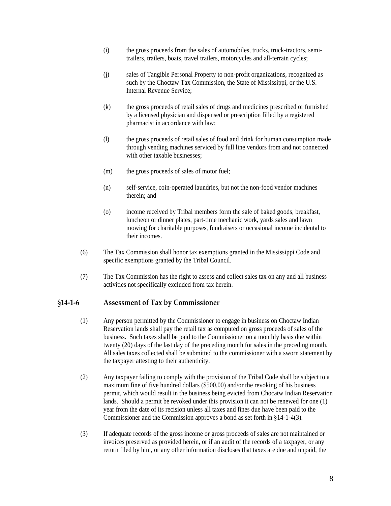- <span id="page-7-0"></span>(i) the gross proceeds from the sales of automobiles, trucks, truck-tractors, semitrailers, trailers, boats, travel trailers, motorcycles and all-terrain cycles;
- (j) sales of Tangible Personal Property to non-profit organizations, recognized as such by the Choctaw Tax Commission, the State of Mississippi, or the U.S. Internal Revenue Service;
- (k) the gross proceeds of retail sales of drugs and medicines prescribed or furnished by a licensed physician and dispensed or prescription filled by a registered pharmacist in accordance with law;
- (l) the gross proceeds of retail sales of food and drink for human consumption made through vending machines serviced by full line vendors from and not connected with other taxable businesses:
- (m) the gross proceeds of sales of motor fuel;
- (n) self-service, coin-operated laundries, but not the non-food vendor machines therein; and
- (o) income received by Tribal members form the sale of baked goods, breakfast, luncheon or dinner plates, part-time mechanic work, yards sales and lawn mowing for charitable purposes, fundraisers or occasional income incidental to their incomes.
- (6) The Tax Commission shall honor tax exemptions granted in the Mississippi Code and specific exemptions granted by the Tribal Council.
- (7) The Tax Commission has the right to assess and collect sales tax on any and all business activities not specifically excluded from tax herein.

#### <span id="page-7-1"></span>**§14‐1‐6 Assessment of Tax by Commissioner**

- (1) Any person permitted by the Commissioner to engage in business on Choctaw Indian Reservation lands shall pay the retail tax as computed on gross proceeds of sales of the business. Such taxes shall be paid to the Commissioner on a monthly basis due within twenty (20) days of the last day of the preceding month for sales in the preceding month. All sales taxes collected shall be submitted to the commissioner with a sworn statement by the taxpayer attesting to their authenticity.
- (2) Any taxpayer failing to comply with the provision of the Tribal Code shall be subject to a maximum fine of five hundred dollars (\$500.00) and/or the revoking of his business permit, which would result in the business being evicted from Chocatw Indian Reservation lands. Should a permit be revoked under this provision it can not be renewed for one (1) year from the date of its recision unless all taxes and fines due have been paid to the Commissioner and the Commission approves a bond as set forth in §14-1-4(3).
- (3) If adequate records of the gross income or gross proceeds of sales are not maintained or invoices preserved as provided herein, or if an audit of the records of a taxpayer, or any return filed by him, or any other information discloses that taxes are due and unpaid, the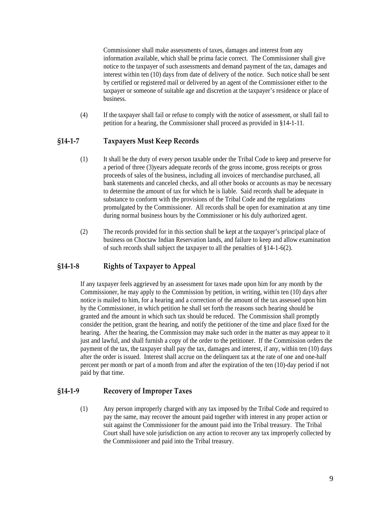<span id="page-8-0"></span>Commissioner shall make assessments of taxes, damages and interest from any information available, which shall be prima facie correct. The Commissioner shall give notice to the taxpayer of such assessments and demand payment of the tax, damages and interest within ten (10) days from date of delivery of the notice. Such notice shall be sent by certified or registered mail or delivered by an agent of the Commissioner either to the taxpayer or someone of suitable age and discretion at the taxpayer's residence or place of business.

(4) If the taxpayer shall fail or refuse to comply with the notice of assessment, or shall fail to petition for a hearing, the Commissioner shall proceed as provided in §14-1-11.

#### <span id="page-8-1"></span>**§14‐1‐7 Taxpayers Must Keep Records**

- (1) It shall be the duty of every person taxable under the Tribal Code to keep and preserve for a period of three (3)years adequate records of the gross income, gross receipts or gross proceeds of sales of the business, including all invoices of merchandise purchased, all bank statements and canceled checks, and all other books or accounts as may be necessary to determine the amount of tax for which he is liable. Said records shall be adequate in substance to conform with the provisions of the Tribal Code and the regulations promulgated by the Commissioner. All records shall be open for examination at any time during normal business hours by the Commissioner or his duly authorized agent.
- (2) The records provided for in this section shall be kept at the taxpayer's principal place of business on Choctaw Indian Reservation lands, and failure to keep and allow examination of such records shall subject the taxpayer to all the penalties of §14-1-6(2).

#### <span id="page-8-2"></span>**§14‐1‐8 Rights of Taxpayer to Appeal**

If any taxpayer feels aggrieved by an assessment for taxes made upon him for any month by the Commissioner, he may apply to the Commission by petition, in writing, within ten (10) days after notice is mailed to him, for a hearing and a correction of the amount of the tax assessed upon him by the Commissioner, in which petition he shall set forth the reasons such hearing should be granted and the amount in which such tax should be reduced. The Commission shall promptly consider the petition, grant the hearing, and notify the petitioner of the time and place fixed for the hearing. After the hearing, the Commission may make such order in the matter as may appear to it just and lawful, and shall furnish a copy of the order to the petitioner. If the Commission orders the payment of the tax, the taxpayer shall pay the tax, damages and interest, if any, within ten (10) days after the order is issued. Interest shall accrue on the delinquent tax at the rate of one and one-half percent per month or part of a month from and after the expiration of the ten (10)-day period if not paid by that time.

#### <span id="page-8-3"></span>**§14‐1‐9 Recovery of Improper Taxes**

(1) Any person improperly charged with any tax imposed by the Tribal Code and required to pay the same, may recover the amount paid together with interest in any proper action or suit against the Commissioner for the amount paid into the Tribal treasury. The Tribal Court shall have sole jurisdiction on any action to recover any tax improperly collected by the Commissioner and paid into the Tribal treasury.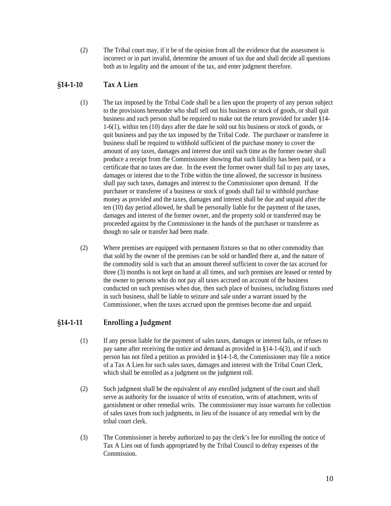<span id="page-9-0"></span>(2) The Tribal court may, if it be of the opinion from all the evidence that the assessment is incorrect or in part invalid, determine the amount of tax due and shall decide all questions both as to legality and the amount of the tax, and enter judgment therefore.

### <span id="page-9-1"></span>**§14‐1‐10 Tax A Lien**

- (1) The tax imposed by the Tribal Code shall be a lien upon the property of any person subject to the provisions hereunder who shall sell out his business or stock of goods, or shall quit business and such person shall be required to make out the return provided for under §14- 1-6(1), within ten (10) days after the date he sold out his business or stock of goods, or quit business and pay the tax imposed by the Tribal Code. The purchaser or transferee in business shall be required to withhold sufficient of the purchase money to cover the amount of any taxes, damages and interest due until such time as the former owner shall produce a receipt from the Commissioner showing that such liability has been paid, or a certificate that no taxes are due. In the event the former owner shall fail to pay any taxes, damages or interest due to the Tribe within the time allowed, the successor in business shall pay such taxes, damages and interest to the Commissioner upon demand. If the purchaser or transferee of a business or stock of goods shall fail to withhold purchase money as provided and the taxes, damages and interest shall be due and unpaid after the ten (10) day period allowed, he shall be personally liable for the payment of the taxes, damages and interest of the former owner, and the property sold or transferred may be proceeded against by the Commissioner in the hands of the purchaser or transferee as though no sale or transfer had been made.
- (2) Where premises are equipped with permanent fixtures so that no other commodity than that sold by the owner of the premises can be sold or handled there at, and the nature of the commodity sold is such that an amount thereof sufficient to cover the tax accrued for three (3) months is not kept on hand at all times, and such premises are leased or rented by the owner to persons who do not pay all taxes accrued on account of the business conducted on such premises when due, then such place of business, including fixtures used in such business, shall be liable to seizure and sale under a warrant issued by the Commissioner, when the taxes accrued upon the premises become due and unpaid.

#### <span id="page-9-2"></span>**§14‐1‐11 Enrolling a Judgment**

- (1) If any person liable for the payment of sales taxes, damages or interest fails, or refuses to pay same after receiving the notice and demand as provided in §14-1-6(3), and if such person has not filed a petition as provided in §14-1-8, the Commissioner may file a notice of a Tax A Lien for such sales taxes, damages and interest with the Tribal Court Clerk, which shall be enrolled as a judgment on the judgment roll.
- (2) Such judgment shall be the equivalent of any enrolled judgment of the court and shall serve as authority for the issuance of writs of execution, writs of attachment, writs of garnishment or other remedial writs. The commissioner may issue warrants for collection of sales taxes from such judgments, in lieu of the issuance of any remedial writ by the tribal court clerk.
- (3) The Commissioner is hereby authorized to pay the clerk's fee for enrolling the notice of Tax A Lien out of funds appropriated by the Tribal Council to defray expenses of the Commission.